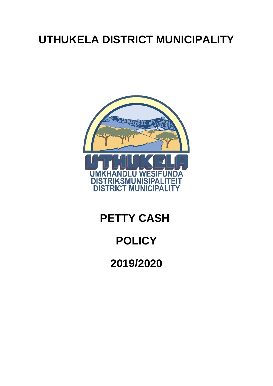# **UTHUKELA DISTRICT MUNICIPALITY**



## **PETTY CASH**

## **POLICY**

**2019/2020**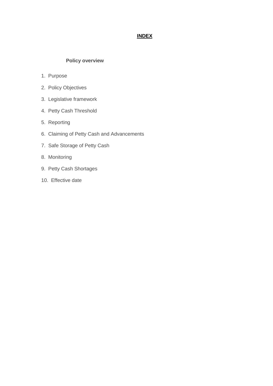## **INDEX**

## **Policy overview**

- 1. Purpose
- 2. Policy Objectives
- 3. Legislative framework
- 4. Petty Cash Threshold
- 5. Reporting
- 6. Claiming of Petty Cash and Advancements
- 7. Safe Storage of Petty Cash
- 8. Monitoring
- 9. Petty Cash Shortages
- 10. Effective date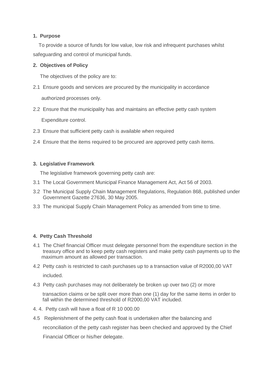## **1. Purpose**

 To provide a source of funds for low value, low risk and infrequent purchases whilst safeguarding and control of municipal funds.

### **2. Objectives of Policy**

The objectives of the policy are to:

- 2.1 Ensure goods and services are procured by the municipality in accordance authorized processes only.
- 2.2 Ensure that the municipality has and maintains an effective petty cash system

Expenditure control.

- 2.3 Ensure that sufficient petty cash is available when required
- 2.4 Ensure that the items required to be procured are approved petty cash items.

### **3. Legislative Framework**

The legislative framework governing petty cash are:

- 3.1 The Local Government Municipal Finance Management Act, Act 56 of 2003.
- 3.2 The Municipal Supply Chain Management Regulations, Regulation 868, published under Government Gazette 27636, 30 May 2005.
- 3.3 The municipal Supply Chain Management Policy as amended from time to time.

## **4. Petty Cash Threshold**

- 4.1 The Chief financial Officer must delegate personnel from the expenditure section in the treasury office and to keep petty cash registers and make petty cash payments up to the maximum amount as allowed per transaction.
- 4.2 Petty cash is restricted to cash purchases up to a transaction value of R2000,00 VAT included.
- 4.3 Petty cash purchases may not deliberately be broken up over two (2) or more

transaction claims or be split over more than one (1) day for the same items in order to fall within the determined threshold of R2000,00 VAT included.

- 4. 4. Petty cash will have a float of R 10 000.00
- 4.5 Replenishment of the petty cash float is undertaken after the balancing and

reconciliation of the petty cash register has been checked and approved by the Chief

Financial Officer or his/her delegate.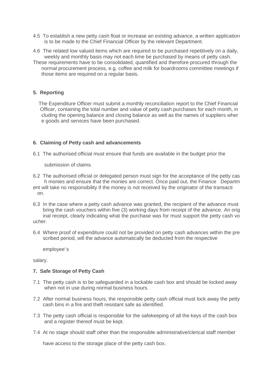- 4.5 To establish a new petty cash float or increase an existing advance, a written application is to be made to the Chief Financial Officer by the relevant Department.
- 4.6 The related low valued items which are required to be purchased repetitively on a daily, weekly and monthly basis may not each time be purchased by means of petty cash.
- These requirements have to be consolidated, quantified and therefore procured through the normal procurement process, e.g. coffee and milk for boardrooms committee meetings if those items are required on a regular basis.

#### **5. Reporting**

 The Expenditure Officer must submit a monthly reconciliation report to the Chief Financial Officer, containing the total number and value of petty cash purchases for each month, in cluding the opening balance and closing balance as well as the names of suppliers wher e goods and services have been purchased.

#### **6. Claiming of Petty cash and advancements**

6.1 The authorised official must ensure that funds are available in the budget prior the

submission of claims.

- 6.2 The authorised official or delegated person must sign for the acceptance of the petty cas h monies and ensure that the monies are correct. Once paid out, the Finance Departm ent will take no responsibility if the money is not received by the originator of the transacti on.
- 6.3 In the case where a petty cash advance was granted, the recipient of the advance must bring the cash vouchers within five (3) working days from receipt of the advance. An orig inal receipt, clearly indicating what the purchase was for must support the petty cash vo ucher.
- 6.4 Where proof of expenditure could not be provided on petty cash advances within the pre scribed period, will the advance automatically be deducted from the respective

employee's

salary.

#### **7. Safe Storage of Petty Cash**

- 7.1 The petty cash is to be safeguarded in a lockable cash box and should be locked away when not in use during normal business hours.
- 7.2 After normal business hours, the responsible petty cash official must lock away the petty cash bins in a fire and theft resistant safe as identified.
- 7.3 The petty cash official is responsible for the safekeeping of all the keys of the cash box and a register thereof must be kept.
- 7.4 At no stage should staff other than the responsible administrative/clerical staff member

have access to the storage place of the petty cash box.